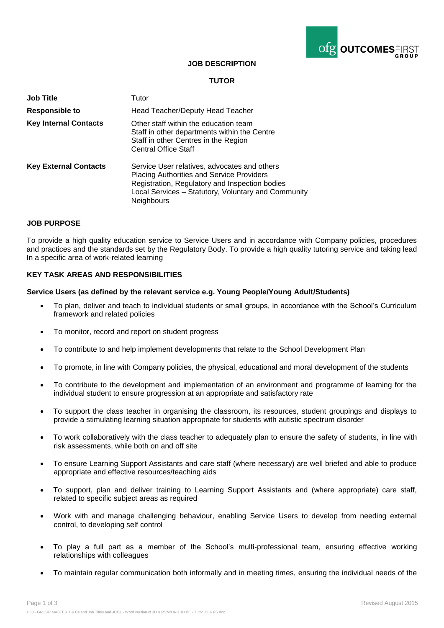

# **JOB DESCRIPTION**

# **TUTOR**

| <b>Job Title</b>             | Tutor                                                                                                                                                                                                                          |
|------------------------------|--------------------------------------------------------------------------------------------------------------------------------------------------------------------------------------------------------------------------------|
| <b>Responsible to</b>        | Head Teacher/Deputy Head Teacher                                                                                                                                                                                               |
| <b>Key Internal Contacts</b> | Other staff within the education team<br>Staff in other departments within the Centre<br>Staff in other Centres in the Region<br><b>Central Office Staff</b>                                                                   |
| <b>Key External Contacts</b> | Service User relatives, advocates and others<br><b>Placing Authorities and Service Providers</b><br>Registration, Regulatory and Inspection bodies<br>Local Services - Statutory, Voluntary and Community<br><b>Neighbours</b> |

### **JOB PURPOSE**

To provide a high quality education service to Service Users and in accordance with Company policies, procedures and practices and the standards set by the Regulatory Body. To provide a high quality tutoring service and taking lead In a specific area of work-related learning

## **KEY TASK AREAS AND RESPONSIBILITIES**

#### **Service Users (as defined by the relevant service e.g. Young People/Young Adult/Students)**

- To plan, deliver and teach to individual students or small groups, in accordance with the School's Curriculum framework and related policies
- To monitor, record and report on student progress
- To contribute to and help implement developments that relate to the School Development Plan
- To promote, in line with Company policies, the physical, educational and moral development of the students
- To contribute to the development and implementation of an environment and programme of learning for the individual student to ensure progression at an appropriate and satisfactory rate
- To support the class teacher in organising the classroom, its resources, student groupings and displays to provide a stimulating learning situation appropriate for students with autistic spectrum disorder
- To work collaboratively with the class teacher to adequately plan to ensure the safety of students, in line with risk assessments, while both on and off site
- To ensure Learning Support Assistants and care staff (where necessary) are well briefed and able to produce appropriate and effective resources/teaching aids
- To support, plan and deliver training to Learning Support Assistants and (where appropriate) care staff, related to specific subject areas as required
- Work with and manage challenging behaviour, enabling Service Users to develop from needing external control, to developing self control
- To play a full part as a member of the School's multi-professional team, ensuring effective working relationships with colleagues
- To maintain regular communication both informally and in meeting times, ensuring the individual needs of the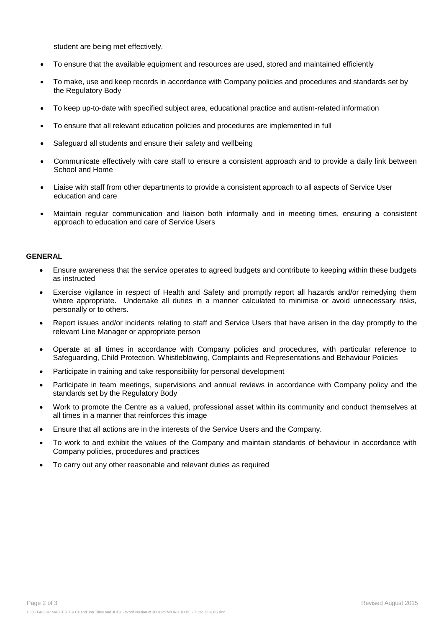student are being met effectively.

- To ensure that the available equipment and resources are used, stored and maintained efficiently
- To make, use and keep records in accordance with Company policies and procedures and standards set by the Regulatory Body
- To keep up-to-date with specified subject area, educational practice and autism-related information
- To ensure that all relevant education policies and procedures are implemented in full
- Safeguard all students and ensure their safety and wellbeing
- Communicate effectively with care staff to ensure a consistent approach and to provide a daily link between School and Home
- Liaise with staff from other departments to provide a consistent approach to all aspects of Service User education and care
- Maintain regular communication and liaison both informally and in meeting times, ensuring a consistent approach to education and care of Service Users

### **GENERAL**

- Ensure awareness that the service operates to agreed budgets and contribute to keeping within these budgets as instructed
- Exercise vigilance in respect of Health and Safety and promptly report all hazards and/or remedying them where appropriate. Undertake all duties in a manner calculated to minimise or avoid unnecessary risks, personally or to others.
- Report issues and/or incidents relating to staff and Service Users that have arisen in the day promptly to the relevant Line Manager or appropriate person
- Operate at all times in accordance with Company policies and procedures, with particular reference to Safeguarding, Child Protection, Whistleblowing, Complaints and Representations and Behaviour Policies
- Participate in training and take responsibility for personal development
- Participate in team meetings, supervisions and annual reviews in accordance with Company policy and the standards set by the Regulatory Body
- Work to promote the Centre as a valued, professional asset within its community and conduct themselves at all times in a manner that reinforces this image
- Ensure that all actions are in the interests of the Service Users and the Company.
- To work to and exhibit the values of the Company and maintain standards of behaviour in accordance with Company policies, procedures and practices
- To carry out any other reasonable and relevant duties as required